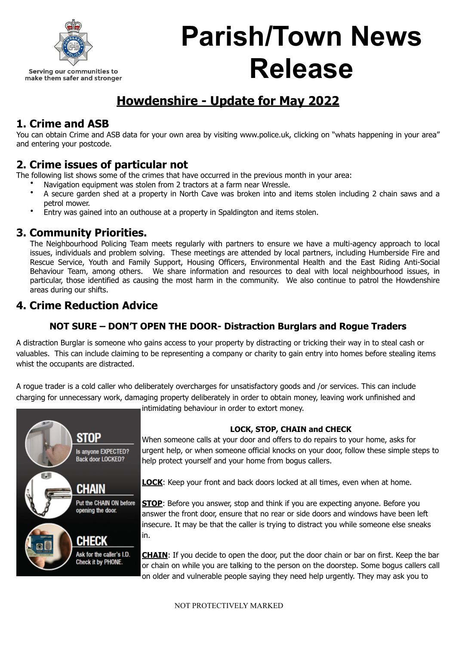

Serving our communities to make them safer and stronger

# **Parish/Town News Release**

## **Howdenshire - Update for May 2022**

### **1. Crime and ASB**

You can obtain Crime and ASB data for your own area by visiting [www.police.uk](http://www.police.uk), clicking on "whats happening in your area" and entering your postcode.

#### **2. Crime issues of particular not**

The following list shows some of the crimes that have occurred in the previous month in your area:

- Navigation equipment was stolen from 2 tractors at a farm near Wressle.
- A secure garden shed at a property in North Cave was broken into and items stolen including 2 chain saws and a petrol mower.
- Entry was gained into an outhouse at a property in Spaldington and items stolen.

#### **3. Community Priorities.**

The Neighbourhood Policing Team meets regularly with partners to ensure we have a multi-agency approach to local issues, individuals and problem solving. These meetings are attended by local partners, including Humberside Fire and Rescue Service, Youth and Family Support, Housing Officers, Environmental Health and the East Riding Anti-Social Behaviour Team, among others. We share information and resources to deal with local neighbourhood issues, in particular, those identified as causing the most harm in the community. We also continue to patrol the Howdenshire areas during our shifts.

### **4. Crime Reduction Advice**

#### **NOT SURE – DON'T OPEN THE DOOR- Distraction Burglars and Rogue Traders**

A distraction Burglar is someone who gains access to your property by distracting or tricking their way in to steal cash or valuables. This can include claiming to be representing a company or charity to gain entry into homes before stealing items whist the occupants are distracted.

A rogue trader is a cold caller who deliberately overcharges for unsatisfactory goods and /or services. This can include charging for unnecessary work, damaging property deliberately in order to obtain money, leaving work unfinished and



intimidating behaviour in order to extort money.

#### **LOCK, STOP, CHAIN and CHECK**

When someone calls at your door and offers to do repairs to your home, asks for urgent help, or when someone official knocks on your door, follow these simple steps to help protect yourself and your home from bogus callers.

**LOCK**: Keep your front and back doors locked at all times, even when at home.

**STOP:** Before you answer, stop and think if you are expecting anyone. Before you answer the front door, ensure that no rear or side doors and windows have been left insecure. It may be that the caller is trying to distract you while someone else sneaks in.

**CHAIN**: If you decide to open the door, put the door chain or bar on first. Keep the bar or chain on while you are talking to the person on the doorstep. Some bogus callers call on older and vulnerable people saying they need help urgently. They may ask you to